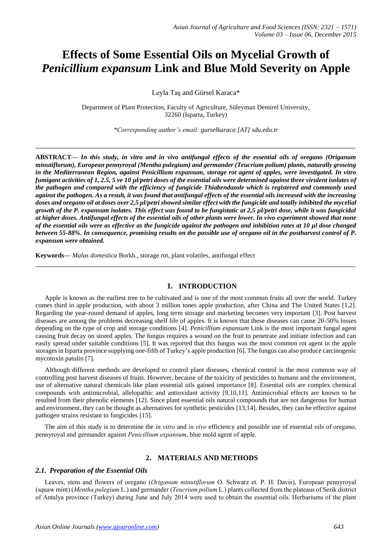# **Effects of Some Essential Oils on Mycelial Growth of** *Penicillium expansum* **Link and Blue Mold Severity on Apple**

Leyla Taş and Gürsel Karaca\*

Department of Plant Protection, Faculty of Agriculture, Süleyman Demirel University, 32260 (Isparta, Turkey)

*\*Corresponding author's email: gurselkaraca [AT] sdu.edu.tr*

**\_\_\_\_\_\_\_\_\_\_\_\_\_\_\_\_\_\_\_\_\_\_\_\_\_\_\_\_\_\_\_\_\_\_\_\_\_\_\_\_\_\_\_\_\_\_\_\_\_\_\_\_\_\_\_\_\_\_\_\_\_\_\_\_\_\_\_\_\_\_\_\_\_\_\_\_\_\_\_\_\_**

**ABSTRACT—** *In this study, in vitro and in vivo antifungal effects of the essential oils of oregano (Origanum minutiflorum), European pennyroyal (Mentha pulegium) and germander (Teucrium polium) plants, naturally growing in the Mediterranean Region, against Penicillium expansum, storage rot agent of apples, were investigated. In vitro fumigant activities of 1, 2.5, 5 ve 10 µl/petri doses of the essential oils were determined against three virulent isolates of the pathogen and compared with the efficiency of fungicide Thiabendazole which is registered and commonly used against the pathogen. As a result, it was found that antifungal effects of the essential oils increased with the increasing doses and oregano oil at doses over 2,5 µl/petri showed similar effect with the fungicide and totally inhibited the mycelial growth of the P. expansum isolates. This effect was found to be fungistatic at 2,5 µl/petri dose, while it was fungicidal at higher doses. Antifungal effects of the essential oils of other plants were lower. In vivo experiment showed that none of the essential oils were as effective as the fungicide against the pathogen and inhibition rates at 10 µl dose changed between 55-88%. In consequence, promising results on the possible use of oregano oil in the postharvest control of P. expansum were obtained.* 

**Keywords—** *Malus domestica* Borkh., storage rot, plant volatiles, antifungal effect

## **1. INTRODUCTION**

**\_\_\_\_\_\_\_\_\_\_\_\_\_\_\_\_\_\_\_\_\_\_\_\_\_\_\_\_\_\_\_\_\_\_\_\_\_\_\_\_\_\_\_\_\_\_\_\_\_\_\_\_\_\_\_\_\_\_\_\_\_\_\_\_\_\_\_\_\_\_\_\_\_\_\_\_\_\_\_\_\_**

Apple is known as the earliest tree to be cultivated and is one of the most common fruits all over the world. Turkey comes third in apple production, with about 3 million tones apple production, after China and The United States [1,2]. Regarding the year-round demand of apples, long term storage and marketing becomes very important [3]. Post harvest diseases are among the problems decreasing shelf life of apples. It is known that these diseases can cause 20-50% losses depending on the type of crop and storage conditions [4]. *Penicillium expansum* Link is the most important fungal agent causing fruit decay on stored apples. The fungus requires a wound on the fruit to penetrate and initiate infection and can easily spread under suitable conditions [5]. It was reported that this fungus was the most common rot agent in the apple storages in Isparta province supplying one-fifth of Turkey's apple production [6]. The fungus can also produce carcinogenic mycotoxin patulin [7].

Although different methods are developed to control plant diseases, chemical control is the most common way of controlling post harvest diseases of fruits. However, because of the toxicity of pesticides to humans and the environment, use of alternative natural chemicals like plant essential oils gained importance [8]. Essential oils are complex chemical compounds with antimicrobial, allelopathic and antioxidant activity [9,10,11]. Antimicrobial effects are known to be resulted from their phenolic elements [12]. Since plant essential oils natural compounds that are not dangerous for human and environment, they can be thought as alternatives for synthetic pesticides [13,14]. Besides, they can be effective against pathogen strains resistant to fungicides [15].

The aim of this study is to determine the *in vitro* and *in vivo* efficiency and possible use of essential oils of oregano, pennyroyal and germander against *Penicillium expansum*, blue mold agent of apple.

#### **2. MATERIALS AND METHODS**

#### *2.1. Preparation of the Essential Oils*

Leaves, stem and flowers of oregano (*Origanum minutiflorum* O. Schwarz et. P. H. Davis), European pennyroyal (squaw mint) (*Mentha pulegium* L.) and germander (*Teucrium polium* L.) plants collected from the plateaus of Serik district of Antalya province (Turkey) during June and July 2014 were used to obtain the essential oils. Herbariums of the plant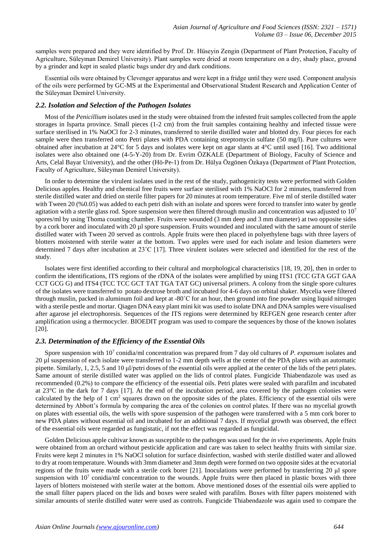samples were prepared and they were identified by Prof. Dr. Hüseyin Zengin (Department of Plant Protection, Faculty of Agriculture, Süleyman Demirel University). Plant samples were dried at room temperature on a dry, shady place, ground by a grinder and kept in sealed plastic bags under dry and dark conditions.

Essential oils were obtained by Clevenger apparatus and were kept in a fridge until they were used. Component analysis of the oils were performed by GC-MS at the Experimental and Observational Student Research and Application Center of the Süleyman Demirel University.

### *2.2. Isolation and Selection of the Pathogen Isolates*

Most of the *Penicillium* isolates used in the study were obtained from the infested fruit samples collected from the apple storages in Isparta province. Small pieces (1-2 cm) from the fruit samples containing healthy and infected tissue were surface sterilised in 1% NaOCl for 2-3 minutes, transferred to sterile distilled water and blotted dry. Four pieces for each sample were then transferred onto Petri plates with PDA containing streptomycin sulfate (50 mg/l). Pure cultures were obtained after incubation at 24°C for 5 days and isolates were kept on agar slants at 4°C until used [16]. Two additional isolates were also obtained one (4-5-Y-20) from Dr. Evrim ÖZKALE (Department of Biology, Faculty of Science and Arts, Celal Bayar University), and the other (Hö-Pe-1) from Dr. Hülya Özgönen Özkaya (Department of Plant Protection, Faculty of Agriculture, Süleyman Demirel University).

In order to determine the virulent isolates used in the rest of the study, pathogenicity tests were performed with Golden Delicious apples. Healthy and chemical free fruits were surface sterilised with 1% NaOCl for 2 minutes, transferred from sterile distilled water and dried on sterile filter papers for 20 minutes at room temperature. Five ml of sterile distilled water with Tween 20 (%0.05) was added to each petri dish with an isolate and spores were forced to transfer into water by gentle agitation with a sterile glass rod. Spore suspension were then filtered through muslin and concentration was adjusted to  $10<sup>7</sup>$ spores/ml by using Thoma counting chamber. Fruits were wounded (3 mm deep and 3 mm diameter) at two opposite sides by a cork borer and inoculated with 20 µl spore suspension. Fruits wounded and inoculated with the same amount of sterile distilled water with Tween 20 served as controls. Apple fruits were then placed in polyethylene bags with three layers of blotters moistened with sterile water at the bottom. Two apples were used for each isolate and lesion diameters were determined 7 days after incubation at 23˚C [17]. Three virulent isolates were selected and identified for the rest of the study.

Isolates were first identified according to their cultural and morphological characteristics [18, 19, 20], then in order to confirm the identifications, ITS regions of the rDNA of the isolates were amplified by using ITS1 (TCC GTA GGT GAA CCT GCG G) and ITS4 (TCC TCC GCT TAT TGA TAT GC) universal primers. A colony from the single spore cultures of the isolates were transferred to potato dextrose broth and incubated for 4-6 days on orbital shaker. Mycelia were filtered through muslin, packed in aluminum foil and kept at -80˚C for an hour, then ground into fine powder using liquid nitrogen with a sterile pestle and mortar. Qiagen DNA easy plant mini kit was used to isolate DNA and DNA samples were visualised after agarose jel electrophoresis. Sequences of the ITS regions were determined by REFGEN gene research center after amplification using a thermocycler. BIOEDIT program was used to compare the sequences by those of the known isolates [20].

## *2.3. Determination of the Efficiency of the Essential Oils*

Spore suspension with 10<sup>7</sup> conidia/ml concentration was prepared from 7 day old cultures of *P. expansum* isolates and 20 µl suspension of each isolate were transferred to 1-2 mm depth wells at the center of the PDA plates with an automatic pipette. Similarly, 1, 2.5, 5 and 10 μl/petri doses of the essential oils were applied at the center of the lids of the petri plates. Same amount of sterile distilled water was applied on the lids of control plates. Fungicide Thiabendazole was used as recommended (0.2%) to compare the efficiency of the essential oils. Petri plates were sealed with parafilm and incubated at 23°C in the dark for 7 days [17]. At the end of the incubation period, area covered by the pathogen colonies were calculated by the help of 1 cm<sup>2</sup> squares drawn on the opposite sides of the plates. Efficiency of the essential oils were determined by Abbott's formula by comparing the area of the colonies on control plates. If there was no mycelial growth on plates with essential oils, the wells with spore suspension of the pathogen were transferred with a 5 mm cork borer to new PDA plates without essential oil and incubated for an additional 7 days. If mycelial growth was observed, the effect of the essential oils were regarded as fungistatic, if not the effect was regarded as fungicidal.

Golden Delicious apple cultivar known as susceptible to the pathogen was used for the *in vivo* experiments. Apple fruits were obtained from an orchard without pesticide application and care was taken to select healthy fruits with similar size. Fruits were kept 2 minutes in 1% NaOCl solution for surface disinfection, washed with sterile distilled water and allowed to dry at room temperature. Wounds with 3mm diameter and 3mm depth were formed on two opposite sides at the ecvatorial regions of the fruits were made with a sterile cork borer [21]. Inoculations were performed by transferring 20 μl spore suspension with  $10<sup>7</sup>$  conidia/ml concentration to the wounds. Apple fruits were then placed in plastic boxes with three layers of blotters moistened with sterile water at the bottom. Above mentioned doses of the essential oils were applied to the small filter papers placed on the lids and boxes were sealed with parafilm. Boxes with filter papers moistened with similar amounts of sterile distilled water were used as controls. Fungicide Thiabendazole was again used to compare the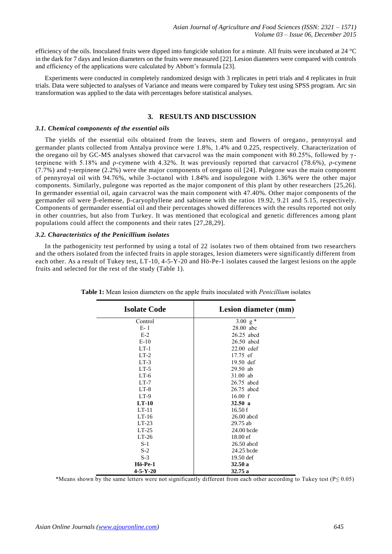efficiency of the oils. Inoculated fruits were dipped into fungicide solution for a minute. All fruits were incubated at 24 °C in the dark for 7 days and lesion diameters on the fruits were measured [22]. Lesion diameters were compared with controls and efficiency of the applications were calculated by Abbott's formula [23].

Experiments were conducted in completely randomized design with 3 replicates in petri trials and 4 replicates in fruit trials. Data were subjected to analyses of Variance and means were compared by Tukey test using SPSS program. Arc sin transformation was applied to the data with percentages before statistical analyses.

## **3. RESULTS AND DISCUSSION**

#### *3.1. Chemical components of the essential oils*

The yields of the essential oils obtained from the leaves, stem and flowers of oregano , pennyroyal and germander plants collected from Antalya province were 1.8%, 1.4% and 0.225, respectively. Characterization of the oregano oil by GC-MS analyses showed that carvacrol was the main component with 80.25%, followed by  $\gamma$ terpinene with 5.18% and ρ-cymene with 4.32%. It was previously reported that carvacrol (78.6%), ρ-cymene (7.7%) and γ-terpinene (2.2%) were the major components of oregano oil [24]. Pulegone was the main component of pennyroyal oil with 94.76%, while 3-octanol with 1.84% and isopulegone with 1.36% were the other major components. Similarly, pulegone was reported as the major component of this plant by other researchers [25,26]. In germander essential oil, again carvacrol was the main component with 47.40%. Other major components of the germander oil were β-elemene, β-caryophyllene and sabinene with the ratios 19.92, 9.21 and 5.15, respectively. Components of germander essential oil and their percentages showed differences with the results reported not only in other countries, but also from Turkey. It was mentioned that ecological and genetic differences among plant populations could affect the components and their rates [27,28,29].

#### *3.2. Characteristics of the Penicillium isolates*

In the pathogenicity test performed by using a total of 22 isolates two of them obtained from two researchers and the others isolated from the infected fruits in apple storages, lesion diameters were significantly different from each other. As a result of Tukey test, LT-10, 4-5-Y-20 and Hö-Pe-1 isolates caused the largest lesions on the apple fruits and selected for the rest of the study (Table 1).

| <b>Isolate Code</b> | Lesion diameter (mm) |
|---------------------|----------------------|
| Control             | 3.00 $g*$            |
| $E-1$               | 28.00 abc            |
| $E-2$               | 26.25 abcd           |
| $E-10$              | 26.50 abcd           |
| $LT-1$              | $22.00$ cdef         |
| $LT-2$              | 17.75 ef             |
| $LT-3$              | $19.50$ def          |
| $LT-5$              | $29.50$ ab           |
| $LT-6$              | $31.00$ ab           |
| $LT-7$              | 26.75 abcd           |
| $LT-8$              | 26.75 abcd           |
| $LT-9$              | 16.00 f              |
| $LT-10$             | 32.50a               |
| $LT-11$             | 16.50 f              |
| $LT-16$             | $26.00$ abcd         |
| $LT-23$             | 29.75 ab             |
| $LT-25$             | 24.00 bcde           |
| $LT-26$             | 18.00 ef             |
| $S-1$               | 26.50 abcd           |
| $S-2$               | 24.25 bcde           |
| $S-3$               | 19.50 def            |
| Hö-Pe-1             | 32.50a               |
| $4 - 5 - Y - 20$    | 32.75a               |

**Table 1:** Mean lesion diameters on the apple fruits inoculated with *Penicillium* isolates

\*Means shown by the same letters were not significantly different from each other according to Tukey test (P≤ 0.05)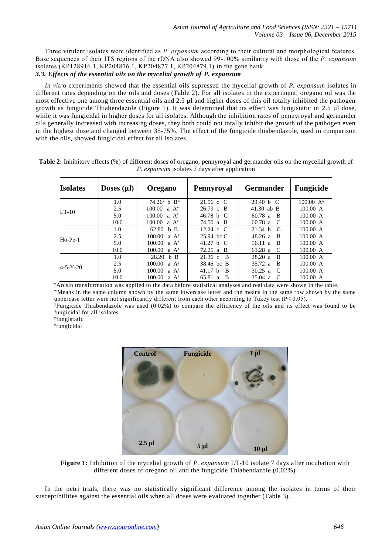Three virulent isolates were identified as *P. expansum* according to their cultural and morphological features. Base sequences of their ITS regions of the rDNA also showed 99-100% similarity with those of the *P. expansum* isolates (KP128916.1, KP204876.1, KP204877.1, KP204879.1) in the gene bank. *3.3. Effects of the essential oils on the mycelial growth of P. expansum* 

*In vitro* experiments showed that the essential oils supressed the mycelial growth of *P. expansum* isolates in different rates depending on the oils and doses (Table 2). For all isolates in the experiment, oregano oil was the most effective one among three essential oils and 2.5 µl and higher doses of this oil totally inhibited the pathogen growth as fungicide Thiabendazole (Figure 1). It was determined that its effect was fungistatic in 2.5 µl dose, while it was fungicidal in higher doses for all isolates. Although the inhibition rates of pennyroyal and germander oils generally increased with increasing doses, they both could not totally inhibit the growth of the pathogen even in the highest dose and changed between 35-75%. The effect of the fungicide thiabendazole, used in comparison with the oils, showed fungicidal effect for all isolates.

| <b>Isolates</b>   | Doses $(\mu I)$ | <b>Oregano</b>             | Pennyroyal                       | <b>Germander</b>                   | <b>Fungicide</b> |
|-------------------|-----------------|----------------------------|----------------------------------|------------------------------------|------------------|
|                   | 1.0             | $74.26^v$ b B <sup>w</sup> | $21.56 \text{ c} \text{ C}$      | 29.40 h C                          | $100.00 A^{x}$   |
| $LT-10$           | 2.5             | 100.00<br>a A <sup>y</sup> | $26.79 \text{ c} \cdot \text{B}$ | 41.30 ab $\overline{B}$            | 100.00 A         |
|                   | 5.0             | 100.00<br>$a \Delta^z$     | 46.78 h C                        | 60.78 a<br>- B                     | 100.00 A         |
|                   | 10.0            | 100.00<br>$a \Delta^z$     | 74.50 a B                        | $60.78$ a<br>- C                   | 100.00 A         |
|                   | 1.0             | 62.80<br>b B               | 12.24 c $C$                      | 21.34 h<br>$\mathcal{C}$           | 100.00 A         |
| $H\ddot{o}$ -Pe-1 | 2.5             | 100.00<br>a A <sup>y</sup> | 25.94 bc C                       | 48.26 a<br>- B                     | 100.00 A         |
|                   | 5.0             | 100.00<br>a $A^z$          | 41.27 h C                        | 56.11 $a$<br>- B                   | 100.00 A         |
|                   | 10.0            | 100.00<br>$a \Delta^z$     | 72.25 a B                        | 61.28 a<br>- C                     | 100.00 A         |
|                   | 1.0             | 28.20 h B                  | 21.36c<br>- B                    | 28.20 a<br><sup>B</sup>            | 100.00 A         |
|                   | 2.5             | 100.00<br>$A^y$            | 38.46 bc B                       | 35.72 a<br>- B                     | 100.00 A         |
| $4 - 5 - Y - 20$  | 5.0             | 100.00<br>$a \Delta^z$     | 41.17 h<br>- B                   | 30.25 a<br>- C                     | 100.00 A         |
|                   | 10.0            | 100.00<br>$a \Delta^z$     | 65.81 a<br>- B                   | $35.04 \text{ a}$<br>$\mathcal{C}$ | 100.00 A         |

| Table 2: Inhibitory effects (%) of different doses of oregano, pennyroyal and germander oils on the mycelial growth of |                                                      |  |  |
|------------------------------------------------------------------------------------------------------------------------|------------------------------------------------------|--|--|
|                                                                                                                        | <i>P. expansum</i> isolates 7 days after application |  |  |

<sup>v</sup>Arcsin transformation was applied to the data before statistical analyses and real data were shown in the table. <sup>w</sup>Means in the same column shown by the same lowercase letter and the means in the same row shown by the same uppercase letter were not significantly different from each other according to Tukey test ( $P \le 0.05$ ).

<sup>x</sup>Fungicide Thiabendazole was used (0.02%) to compare the efficiency of the oils and its effect was found to be fungicidal for all isolates.

y fungistatic

z fungicidal



**Figure 1:** Inhibition of the mycelial growth of *P. expansum* LT-10 isolate 7 days after incubation with different doses of oregano oil and the fungicide Thiabendazole (0.02%).

In the petri trials, there was no statistically significant difference among the isolates in terms of their susceptibilities against the essential oils when all doses were evaluated together (Table 3).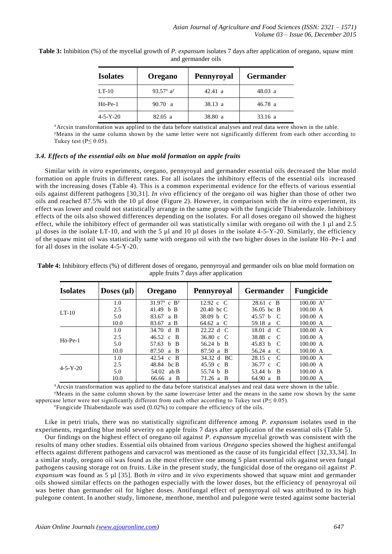| <b>Isolates</b>   | <b>Oregano</b> | Pennyroyal | <b>Germander</b> |
|-------------------|----------------|------------|------------------|
| $LT-10$           | 93.57 $x$ ay   | 42.41 a    | 48.03 a          |
| $H\ddot{o}$ -Pe-1 | 90.70 a        | 38.13 a    | 46.78a           |
| $4 - 5 - Y - 20$  | 82.05 a        | 38.80 a    | 33.16 a          |

**Table 3:** Inhibition (%) of the mycelial growth of *P. expansum* isolates 7 days after application of oregano, squaw mint and germander oils

<sup>x</sup>Arcsin transformation was applied to the data before statistical analyses and real data were shown in the table. <sup>y</sup>Means in the same column shown by the same letter were not significantly different from each other according to Tukey test ( $P \le 0.05$ ).

#### *3.4. Effects of the essential oils on blue mold formation on apple fruits*

Similar with *in vitro* experiments, oregano, pennyroyal and germander essential oils decreased the blue mold formation on apple fruits in different rates. For all isolates the inhibitory effects of the essential oils increased with the increasing doses (Table 4). This is a common experimental evidence for the effects of various essential oils against different pathogens [30,31]. *In vivo* efficiency of the oregano oil was higher than those of other two oils and reached 87.5% with the 10 µl dose (Figure 2). However, in comparison with the *in vitro* experiment, its effect was lower and could not statistically arrange in the same group with the fungicide Thiabendazole. Inhibitory effects of the oils also showed differences depending on the isolates. For all doses oregano oil showed the highest effect, while the inhibitory effect of germander oil was statistically similar with oregano oil with the 1 µl and 2.5 µl doses in the isolate LT-10, and with the 5 µl and 10 µl doses in the isolate 4-5-Y-20. Similarly, the efficiency of the squaw mint oil was statistically same with oregano oil with the two higher doses in the isolate Hö -Pe-1 and for all doses in the isolate 4-5-Y-20.

| <b>Isolates</b>   | Doses $(\mu I)$ | <b>Oregano</b>             | Pennyroyal                       | <b>Germander</b>                    | <b>Fungicide</b> |
|-------------------|-----------------|----------------------------|----------------------------------|-------------------------------------|------------------|
|                   | 1.0             | $31.97^x$ c B <sup>y</sup> | 12.92 c $C$                      | 28.61 c B                           | $100.00 A^{z}$   |
| $LT-10$           | 2.5             | 41.49 $\bm{b}$ B           | $20.40 \text{ bc C}$             | $36.05$ bc B                        | 100.00 A         |
|                   | 5.0             | 83.67<br>a B               | 38.09 h C                        | 45.57 h<br>$\mathcal{C}$            | 100.00 A         |
|                   | 10.0            | 83.67<br>a B               | 64.62 a C                        | 59.18 $a$<br>- C                    | 100.00 A         |
| $H\ddot{o}$ -Pe-1 | 1.0             | 34.70<br>$d$ B             | 22.22 d C                        | 18.01 <sub>1</sub><br>$\mathcal{C}$ | 100.00 A         |
|                   | 2.5             | 46.52 c B                  | 36.80 c $C$                      | 38.88 c<br>$\overline{C}$           | 100.00 A         |
|                   | 5.0             | 57.63 h<br>- B             | 56.24 $h$ B                      | 45.83 h<br>$\mathcal{C}$            | 100.00 A         |
|                   | 10.0            | 87.50<br>a B               | 87.50 a B                        | 56.24 a<br>- C                      | 100.00 A         |
| $4 - 5 - Y - 20$  | 1.0             | 42.54 c B                  | 34.32 d BC                       | $28.15 \text{ c}$<br>$\mathcal{C}$  | 100.00 A         |
|                   | 2.5             | 48.84 bc B                 | $45.59 \text{ c} \cdot \text{B}$ | $36.77$ c<br>$\Gamma$               | 100.00 A         |
|                   | 5.0             | 54.02 ab B                 | 55.74 b B                        | 53.44 h<br>B                        | 100.00 A         |
|                   | 10.0            | 66.66 a B                  | $71.26$ a B                      | 64.90 a<br>-B                       | 100.00 A         |

**Table 4:** Inhibitory effects (%) of different doses of oregano, pennyroyal and germander oils on blue mold formation on apple fruits 7 days after application

<sup>x</sup>Arcsin transformation was applied to the data before statistical analyses and real data were shown in the table.

<sup>y</sup>Means in the same column shown by the same lowercase letter and the means in the same row shown by the same uppercase letter were not significantly different from each other according to Tukey test ( $P \le 0.05$ ).

<sup>z</sup>Fungicide Thiabendazole was used (0.02%) to compare the efficiency of the oils.

Like in petri trials, there was no statistically significant difference among *P. expansum* isolates used in the experiments, regarding blue mold severity on apple fruits 7 days after application of the essential oils (Table 5).

Our findings on the highest effect of oregano oil against *P. expansum* mycelial growth was consistent with the results of many other studies. Essential oils obtained from various *Oregano* species showed the highest antifungal effects against different pathogens and carvacrol was mentioned as the cause of its fungicidal effect [32,33,34]. In a similar study, oregano oil was found as the most effective one among 5 plant essential oils against seven fungal pathogens causing storage rot on fruits. Like in the present study, the fungicidal dose of the oregano oil against *P. expansum* was found as 5 µl [35]. Both *in vitro* and *in vivo* experiments showed that squaw mint and germander oils showed similar effects on the pathogen especially with the lower doses, but the efficiency of pennyroyal oil was better than germander oil for higher doses. Antifungal effect of pennyroyal oil was attributed to its high pulegone content. In another study, limonene, menthone, menthol and pulegone were tested against some bacterial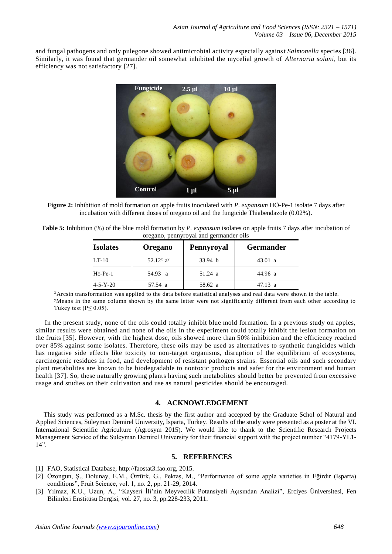and fungal pathogens and only pulegone showed antimicrobial activity especially against *Salmonella* species [36]. Similarly, it was found that germander oil somewhat inhibited the mycelial growth of *Alternaria solani*, but its efficiency was not satisfactory [27].



**Figure 2:** Inhibition of mold formation on apple fruits inoculated with *P. expansum* HÖ-Pe-1 isolate 7 days after incubation with different doses of oregano oil and the fungicide Thiabendazole (0.02%).

| <b>Table 5:</b> Inhibition (%) of the blue mold formation by <i>P. expansum</i> isolates on apple fruits 7 days after incubation of |
|-------------------------------------------------------------------------------------------------------------------------------------|
| oregano, pennyroyal and germander oils                                                                                              |

| <b>Isolates</b>   | Oregano      | Pennyroyal         | <b>Germander</b>  |
|-------------------|--------------|--------------------|-------------------|
| $LT-10$           | 52.12 $x$ ay | 33.94 <sub>b</sub> | 43.01 a           |
| $H\ddot{o}$ -Pe-1 | 54.93 a      | $51.24 \text{ a}$  | 44.96 a           |
| $4 - 5 - Y - 20$  | 57.54 a      | 58.62 a            | $47.13 \text{ a}$ |

<sup>x</sup>Arcsin transformation was applied to the data before statistical analyses and real data were shown in the table. <sup>y</sup>Means in the same column shown by the same letter were not significantly different from each other according to Tukey test ( $P \le 0.05$ ).

In the present study, none of the oils could totally inhibit blue mold formation. In a previous study on apples, similar results were obtained and none of the oils in the experiment could totally inhibit the lesion formation on the fruits [35]. However, with the highest dose, oils showed more than 50% inhibition and the efficiency reached over 85% against some isolates. Therefore, these oils may be used as alternatives to synthetic fungicides which has negative side effects like toxicity to non-target organisms, disruption of the equilibrium of ecosystems, carcinogenic residues in food, and development of resistant pathogen strains. Essential oils and such secondary plant metabolites are known to be biodegradable to nontoxic products and safer for the environment and human health [37]. So, these naturally growing plants having such metabolites should better be prevented from excessive usage and studies on their cultivation and use as natural pesticides should be encouraged.

# **4. ACKNOWLEDGEMENT**

This study was performed as a M.Sc. thesis by the first author and accepted by the Graduate Schol of Natural and Applied Sciences, Süleyman Demirel University, Isparta, Turkey. Results of the study were presented as a poster at the VI. International Scientific Agriculture (Agrosym 2015). We would like to thank to the Scientific Research Projects Management Service of the Suleyman Demirel University for their financial support with the project number "4179-YL1- 14".

## **5. REFERENCES**

- [1] FAO, Statistical Database, http://faostat3.fao.org, 2015.
- [2] Özongun, Ş., Dolunay, E.M., Öztürk, G., Pektaş, M., "Performance of some apple varieties in Eğirdir (Isparta) conditions", Fruit Science, vol. 1, no. 2, pp. 21-29, 2014.
- [3] Yılmaz, K.U., Uzun, A., "Kayseri İli'nin Meyvecilik Potansiyeli Açısından Analizi", Erciyes Üniversitesi, Fen Bilimleri Enstitüsü Dergisi, vol. 27, no. 3, pp.228-233, 2011.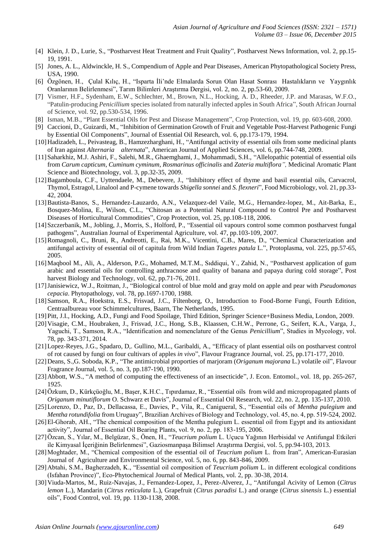- [4] Klein, J. D., Lurie, S., "Postharvest Heat Treatment and Fruit Quality", Postharvest News Information, vol. 2, pp.15- 19, 1991.
- [5] Jones, A. L., Aldwinckle, H. S., Compendium of Apple and Pear Diseases, American Phytopathological Society Press, USA, 1990.
- [6] Özgönen, H., Çulal Kılıç, H., "Isparta İli'nde Elmalarda Sorun Olan Hasat Sonrası Hastalıkların ve Yaygınlık Oranlarının Belirlenmesi", Tarım Bilimleri Araştırma Dergisi, vol. 2, no. 2, pp.53-60, 2009.
- [7] Vismer, H.F., Sydenham, E.W., Schlechter, M., Brown, N.L., Hocking, A. D., Rheeder, J.P. and Marasas, W.F.O., "Patulin-producing *Penicillium* species isolated from naturally infected apples in South Africa", South African Journal of Science, vol. 92, pp.530-534, 1996.
- [8] Isman, M.B., "Plant Essential Oils for Pest and Disease Management", Crop Protection, vol. 19, pp. 603-608, 2000.
- [9] Caccioni, D., Guizardi, M., "Inhibition of Germination Growth of Fruit and Vegetable Post-Harvest Pathogenic Fungi by Essential Oil Components", Journal of Essential Oil Research, vol. 6, pp.173-179, 1994.
- [10]Hadizadeh, L., Peivasteag, B., Hamzezharghani, H., "Antifungal activity of essential oils from some medicinal plants of Iran against *Alternaria alternata*", American Journal of Applied Sciences, vol. 6, pp.744-748, 2009.
- [11]Saharkhiz, M.J. Ashiri, F., Salehi, M.R., Ghaemghami, J., Mohammadi, S.H., "Allelopathic potential of essential oils from *Carum capticum*, *Cuminum cyminum*, *Rosmarinus officinalis* and *Zateria multiflora",* Medicinal Aromatic Plant Science and Biotechnology, vol. 3, pp.32-35, 2009.
- [12] Bagamboula, C.F., Uyttendaele, M., Debevere, J., "Inhibitory effect of thyme and basil essential oils, Carvacrol, Thymol, Estragol, Linalool and P-cymene towards *Shigella sonnei* and *S. flexneri*", Food Microbiology, vol. 21, pp.33- 42, 2004.
- [13]Bautista-Banos, S., Hernandez-Lauzardo, A.N., Velazquez-del Vaile, M.G., Hernandez-lopez, M., Ait-Barka, E., Bosquez-Molina, E., Wilson, C.L., "Chitosan as a Potential Natural Compound to Control Pre and Postharvest Diseases of Horticultural Commodities", Crop Protection, vol. 25, pp.108-118, 2006.
- [14]Szczerbanik, M., Jobling, J., Morris, S., Holford, P., "Essential oil vapours control some common postharvest fungal pathogens", Australian Journal of Experimental Agriculture, vol. 47, pp.103-109, 2007.
- [15]Romagnoli, C., Bruni, R., Andreotti, E., Rai, M.K., Vicentini, C.B., Mares, D., "Chemical Characterization and antifungal activity of essential oil of capitula from Wild Indian *Tagetes patula* L.", Protoplasma, vol. 225, pp.57-65, 2005.
- [16]Maqbool M., Ali, A., Alderson, P.G., Mohamed, M.T.M., Sıddiqui, Y., Zahid, N., "Postharvest application of gum arabic and essential oils for controlling anthracnose and quality of banana and papaya during cold storage", Post harvest Biology and Technology, vol. 62, pp.71-76, 2011.
- [17]Janisiewicz, W.J., Roitman, J., "Biological control of blue mold and gray mold on apple and pear with *Pseudomonas cepacia*. Phytopathology, vol. 78, pp.1697-1700, 1988.
- [18]Samson, R.A., Hoekstra, E.S., Frisvad, J.C., Filtenborg, O., Introduction to Food-Borne Fungi, Fourth Edition, Centraalbureau voor Schimmelcultures, Baarn, The Netherlands, 1995.
- [19]Pitt, J.I., Hocking, A.D., Fungi and Food Spoilage, Third Edition, Springer Science+Business Media, London, 2009.
- [20]Visagie, C.M., Houbraken, J., Frisvad, J.C., Hong, S.B., Klaassen, C.H.W., Perrone, G., Seifert, K.A., Varga, J., Yaguchi, T., Samson, R.A., "Identification and nomenclature of the Genus *Penicillium*", Studies in Mycology, vol. 78, pp. 343-371, 2014.
- [21]Lopez-Reyes, J.G., Spadaro, D,. Gullino, M.L., Garibaldi, A., "Efficacy of plant essential oils on postharvest control of rot caused by fungi on four cultivars of apples *in vivo*", Flavour Fragrance Journal, vol. 25, pp.171-177, 2010.
- [22]Deans, S.,G. Soboda, K.P., "The antimicrobial proporties of marjoram (*Origanum majorana* L.) volatile oil", Flavour Fragrance Journal, vol. 5, no. 3, pp.187-190, 1990.
- [23]Abbott, W.S., "A method of computing the effectiveness of an insecticide", J. Econ. Entomol., vol. 18, pp. 265-267, 1925.
- [24]Özkum, D., Kürkçüoğlu, M., Başer, K.H.C., Tıpırdamaz, R., "Essential oils from wild and micropropagated plants of *Origanum minutiflorum* O. Schwarz et Davis", Journal of Essential Oil Research, vol. 22, no. 2, pp. 135-137, 2010.
- [25]Lorenzo, D., Paz, D., Dellacassa, E., Davies, P., Vila, R., Canigueral, S., "Essential oils of *Mentha pulegium* and *Mentha rotundifolia* from Uruguay", Brazilian Archives of Biology and Technology, vol. 45, no. 4, pp. 519-524, 2002.
- [26]El-Ghorab, AH., "The chemical composition of the Mentha pulegium L. essential oil from Egypt and its antioxidant activity", Journal of Essential Oil Bearing Plants, vol. 9, no. 2, pp. 183-195, 2006.
- [27]Özcan, S., Yılar, M., Belgüzar, S., Önen, H., "*Teucrium polium* L. Uçucu Yağının Herbisidal ve Antifungal Etkileri ile Kimyasal İçeriğinin Belirlenmesi", Gaziosmanpaşa Bilimsel Araştırma Dergisi, vol. 5, pp.94-103, 2013.
- [28]Moghtader, M., "Chemical composition of the essential oil of *Teucrium polium* L. from Iran", American-Eurasian Journal of Agriculture and Environmental Science, vol. 5, no. 6, pp. 843-846, 2009.
- [29]Abtahi, S.M., Bagherzadeh, K., "Essential oil composition of *Teucrium polium* L. in different ecological conditions (Isfahan Province)", Eco-Phytochemical Journal of Medical Plants, vol. 2, pp. 30-38, 2014.
- [30]Viuda-Martos, M., Ruiz-Navajas, J., Fernandez-Lopez, J., Perez-Alverez, J., "Antifungal Acivity of Lemon (*Citrus lemon* L.), Mandarin (*Citrus reticulata* L.), Grapefruit (*Citrus paradisi* L.) and orange (*Citrus sinensis* L.) essential oils", Food Control, vol. 19, pp. 1130-1138, 2008.